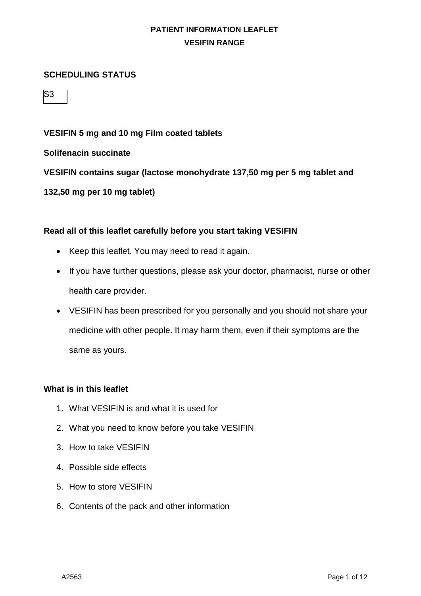#### **SCHEDULING STATUS**

 $\overline{\mathsf{S}3}$ 

#### **VESIFIN 5 mg and 10 mg Film coated tablets**

**Solifenacin succinate**

**VESIFIN contains sugar (lactose monohydrate 137,50 mg per 5 mg tablet and** 

**132,50 mg per 10 mg tablet)**

#### **Read all of this leaflet carefully before you start taking VESIFIN**

- Keep this leaflet. You may need to read it again.
- If you have further questions, please ask your doctor, pharmacist, nurse or other health care provider.
- VESIFIN has been prescribed for you personally and you should not share your medicine with other people. It may harm them, even if their symptoms are the same as yours.

#### **What is in this leaflet**

- 1. What VESIFIN is and what it is used for
- 2. What you need to know before you take VESIFIN
- 3. How to take VESIFIN
- 4. Possible side effects
- 5. How to store VESIFIN
- 6. Contents of the pack and other information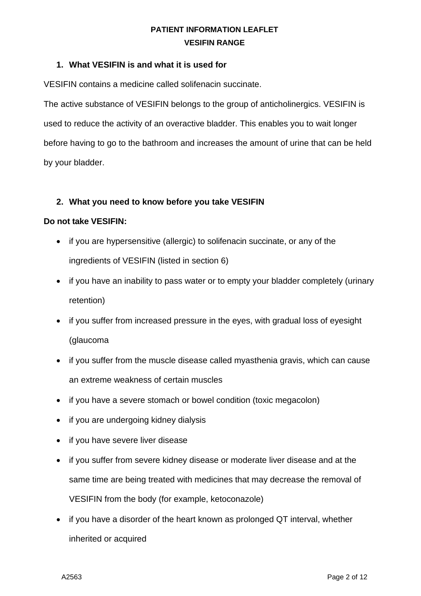#### **1. What VESIFIN is and what it is used for**

VESIFIN contains a medicine called solifenacin succinate.

The active substance of VESIFIN belongs to the group of anticholinergics. VESIFIN is used to reduce the activity of an overactive bladder. This enables you to wait longer before having to go to the bathroom and increases the amount of urine that can be held by your bladder.

#### **2. What you need to know before you take VESIFIN**

#### **Do not take VESIFIN:**

- if you are hypersensitive (allergic) to solifenacin succinate, or any of the ingredients of VESIFIN (listed in section 6)
- if you have an inability to pass water or to empty your bladder completely (urinary retention)
- if you suffer from increased pressure in the eyes, with gradual loss of eyesight (glaucoma
- if you suffer from the muscle disease called myasthenia gravis, which can cause an extreme weakness of certain muscles
- if you have a severe stomach or bowel condition (toxic megacolon)
- if you are undergoing kidney dialysis
- if you have severe liver disease
- if you suffer from severe kidney disease or moderate liver disease and at the same time are being treated with medicines that may decrease the removal of VESIFIN from the body (for example, ketoconazole)
- if you have a disorder of the heart known as prolonged QT interval, whether inherited or acquired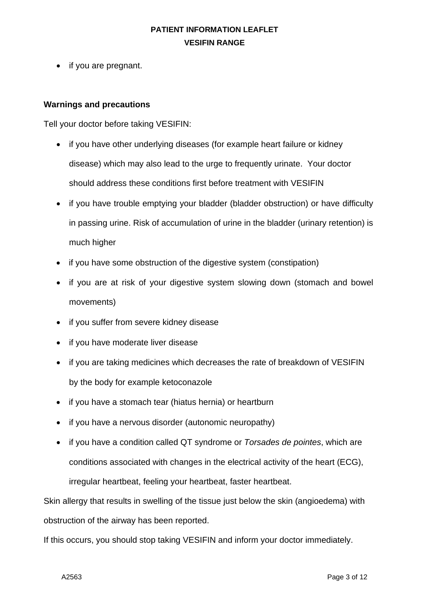• if you are pregnant.

### **Warnings and precautions**

Tell your doctor before taking VESIFIN:

- if you have other underlying diseases (for example heart failure or kidney disease) which may also lead to the urge to frequently urinate. Your doctor should address these conditions first before treatment with VESIFIN
- if you have trouble emptying your bladder (bladder obstruction) or have difficulty in passing urine. Risk of accumulation of urine in the bladder (urinary retention) is much higher
- if you have some obstruction of the digestive system (constipation)
- if you are at risk of your digestive system slowing down (stomach and bowel movements)
- if you suffer from severe kidney disease
- if you have moderate liver disease
- if you are taking medicines which decreases the rate of breakdown of VESIFIN by the body for example ketoconazole
- if you have a stomach tear (hiatus hernia) or heartburn
- if you have a nervous disorder (autonomic neuropathy)
- if you have a condition called QT syndrome or *Torsades de pointes*, which are conditions associated with changes in the electrical activity of the heart (ECG), irregular heartbeat, feeling your heartbeat, faster heartbeat.

Skin allergy that results in swelling of the tissue just below the skin (angioedema) with obstruction of the airway has been reported.

If this occurs, you should stop taking VESIFIN and inform your doctor immediately.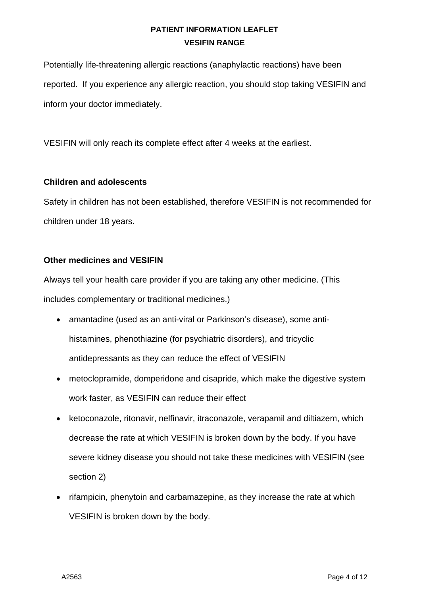Potentially life-threatening allergic reactions (anaphylactic reactions) have been reported. If you experience any allergic reaction, you should stop taking VESIFIN and inform your doctor immediately.

VESIFIN will only reach its complete effect after 4 weeks at the earliest.

### **Children and adolescents**

Safety in children has not been established, therefore VESIFIN is not recommended for children under 18 years.

## **Other medicines and VESIFIN**

Always tell your health care provider if you are taking any other medicine. (This includes complementary or traditional medicines.)

- amantadine (used as an anti-viral or Parkinson's disease), some antihistamines, phenothiazine (for psychiatric disorders), and tricyclic antidepressants as they can reduce the effect of VESIFIN
- metoclopramide, domperidone and cisapride, which make the digestive system work faster, as VESIFIN can reduce their effect
- ketoconazole, ritonavir, nelfinavir, itraconazole, verapamil and diltiazem, which decrease the rate at which VESIFIN is broken down by the body. If you have severe kidney disease you should not take these medicines with VESIFIN (see section 2)
- rifampicin, phenytoin and carbamazepine, as they increase the rate at which VESIFIN is broken down by the body.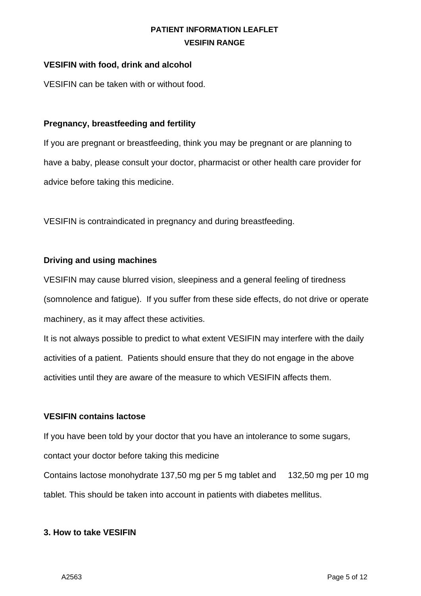### **VESIFIN with food, drink and alcohol**

VESIFIN can be taken with or without food.

### **Pregnancy, breastfeeding and fertility**

If you are pregnant or breastfeeding, think you may be pregnant or are planning to have a baby, please consult your doctor, pharmacist or other health care provider for advice before taking this medicine.

VESIFIN is contraindicated in pregnancy and during breastfeeding.

#### **Driving and using machines**

VESIFIN may cause blurred vision, sleepiness and a general feeling of tiredness (somnolence and fatigue). If you suffer from these side effects, do not drive or operate machinery, as it may affect these activities.

It is not always possible to predict to what extent VESIFIN may interfere with the daily activities of a patient. Patients should ensure that they do not engage in the above activities until they are aware of the measure to which VESIFIN affects them.

#### **VESIFIN contains lactose**

If you have been told by your doctor that you have an intolerance to some sugars,

contact your doctor before taking this medicine

Contains lactose monohydrate 137,50 mg per 5 mg tablet and 132,50 mg per 10 mg tablet. This should be taken into account in patients with diabetes mellitus.

#### **3. How to take VESIFIN**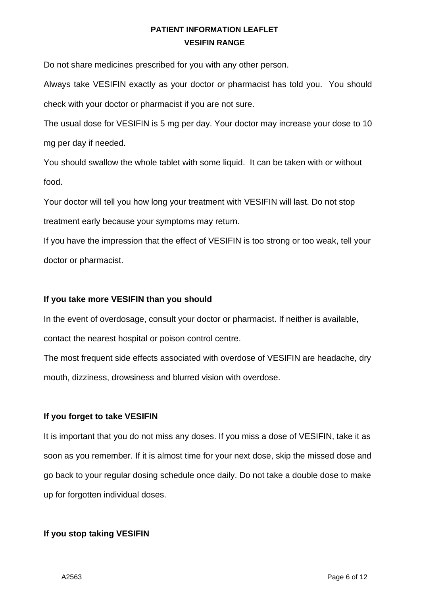Do not share medicines prescribed for you with any other person.

Always take VESIFIN exactly as your doctor or pharmacist has told you. You should check with your doctor or pharmacist if you are not sure.

The usual dose for VESIFIN is 5 mg per day. Your doctor may increase your dose to 10 mg per day if needed.

You should swallow the whole tablet with some liquid. It can be taken with or without food.

Your doctor will tell you how long your treatment with VESIFIN will last. Do not stop treatment early because your symptoms may return.

If you have the impression that the effect of VESIFIN is too strong or too weak, tell your doctor or pharmacist.

### **If you take more VESIFIN than you should**

In the event of overdosage, consult your doctor or pharmacist. If neither is available, contact the nearest hospital or poison control centre.

The most frequent side effects associated with overdose of VESIFIN are headache, dry mouth, dizziness, drowsiness and blurred vision with overdose.

### **If you forget to take VESIFIN**

It is important that you do not miss any doses. If you miss a dose of VESIFIN, take it as soon as you remember. If it is almost time for your next dose, skip the missed dose and go back to your regular dosing schedule once daily. Do not take a double dose to make up for forgotten individual doses.

### **If you stop taking VESIFIN**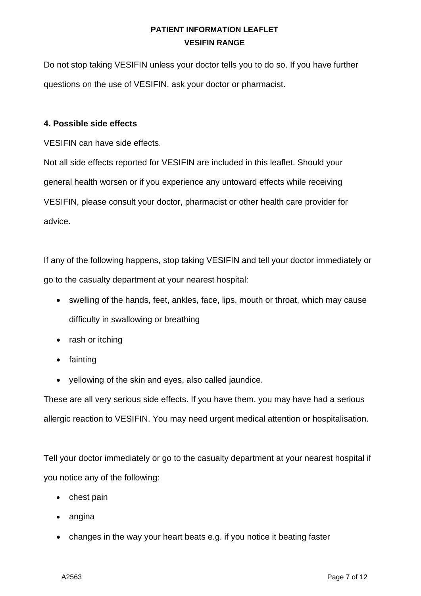Do not stop taking VESIFIN unless your doctor tells you to do so. If you have further questions on the use of VESIFIN, ask your doctor or pharmacist.

### **4. Possible side effects**

VESIFIN can have side effects.

Not all side effects reported for VESIFIN are included in this leaflet. Should your general health worsen or if you experience any untoward effects while receiving VESIFIN, please consult your doctor, pharmacist or other health care provider for advice.

If any of the following happens, stop taking VESIFIN and tell your doctor immediately or go to the casualty department at your nearest hospital:

- swelling of the hands, feet, ankles, face, lips, mouth or throat, which may cause difficulty in swallowing or breathing
- rash or itching
- fainting
- yellowing of the skin and eyes, also called jaundice.

These are all very serious side effects. If you have them, you may have had a serious allergic reaction to VESIFIN. You may need urgent medical attention or hospitalisation.

Tell your doctor immediately or go to the casualty department at your nearest hospital if you notice any of the following:

- chest pain
- angina
- changes in the way your heart beats e.g. if you notice it beating faster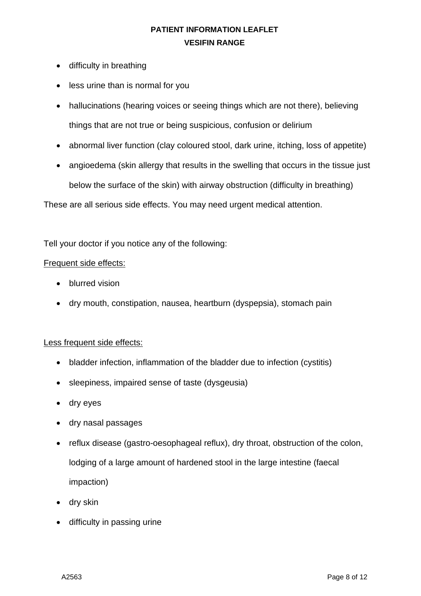- difficulty in breathing
- less urine than is normal for you
- hallucinations (hearing voices or seeing things which are not there), believing things that are not true or being suspicious, confusion or delirium
- abnormal liver function (clay coloured stool, dark urine, itching, loss of appetite)
- angioedema (skin allergy that results in the swelling that occurs in the tissue just below the surface of the skin) with airway obstruction (difficulty in breathing)

These are all serious side effects. You may need urgent medical attention.

Tell your doctor if you notice any of the following:

#### Frequent side effects:

- blurred vision
- dry mouth, constipation, nausea, heartburn (dyspepsia), stomach pain

### Less frequent side effects:

- bladder infection, inflammation of the bladder due to infection (cystitis)
- sleepiness, impaired sense of taste (dysgeusia)
- dry eyes
- dry nasal passages
- reflux disease (gastro-oesophageal reflux), dry throat, obstruction of the colon, lodging of a large amount of hardened stool in the large intestine (faecal impaction)
- dry skin
- difficulty in passing urine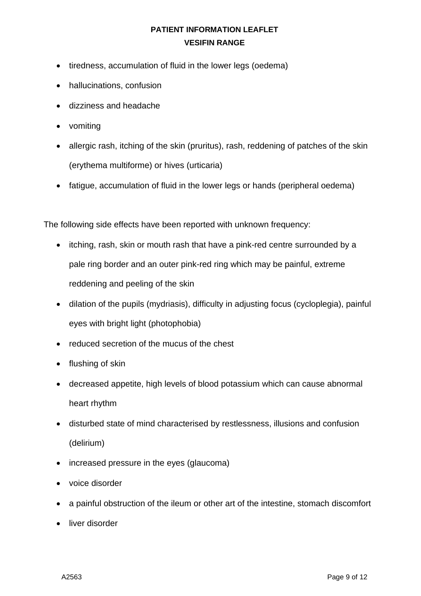- tiredness, accumulation of fluid in the lower legs (oedema)
- hallucinations, confusion
- dizziness and headache
- vomiting
- allergic rash, itching of the skin (pruritus), rash, reddening of patches of the skin (erythema multiforme) or hives (urticaria)
- fatigue, accumulation of fluid in the lower legs or hands (peripheral oedema)

The following side effects have been reported with unknown frequency:

- itching, rash, skin or mouth rash that have a pink-red centre surrounded by a pale ring border and an outer pink-red ring which may be painful, extreme reddening and peeling of the skin
- dilation of the pupils (mydriasis), difficulty in adjusting focus (cycloplegia), painful eyes with bright light (photophobia)
- reduced secretion of the mucus of the chest
- flushing of skin
- decreased appetite, high levels of blood potassium which can cause abnormal heart rhythm
- disturbed state of mind characterised by restlessness, illusions and confusion (delirium)
- increased pressure in the eyes (glaucoma)
- voice disorder
- a painful obstruction of the ileum or other art of the intestine, stomach discomfort
- liver disorder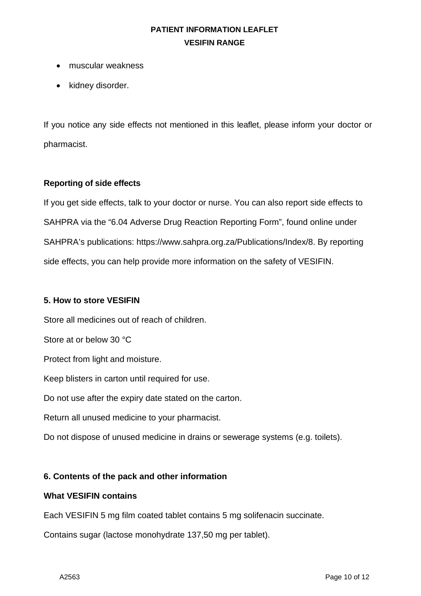- muscular weakness
- kidney disorder.

If you notice any side effects not mentioned in this leaflet, please inform your doctor or pharmacist.

### **Reporting of side effects**

If you get side effects, talk to your doctor or nurse. You can also report side effects to SAHPRA via the "6.04 Adverse Drug Reaction Reporting Form", found online under SAHPRA's publications: https://www.sahpra.org.za/Publications/Index/8. By reporting side effects, you can help provide more information on the safety of VESIFIN.

#### **5. How to store VESIFIN**

Store all medicines out of reach of children.

Store at or below 30 °C

Protect from light and moisture.

Keep blisters in carton until required for use.

Do not use after the expiry date stated on the carton.

Return all unused medicine to your pharmacist.

Do not dispose of unused medicine in drains or sewerage systems (e.g. toilets).

### **6. Contents of the pack and other information**

#### **What VESIFIN contains**

Each VESIFIN 5 mg film coated tablet contains 5 mg solifenacin succinate.

Contains sugar (lactose monohydrate 137,50 mg per tablet).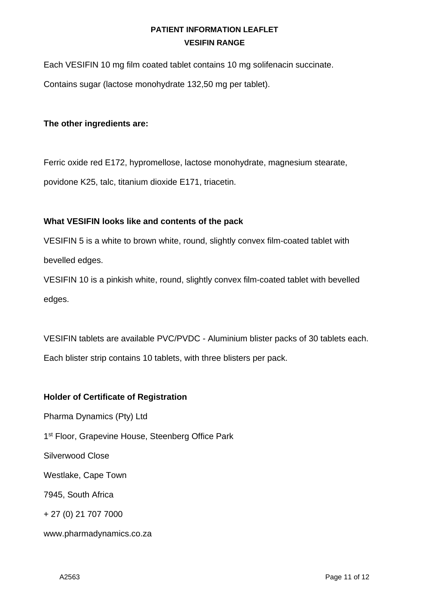Each VESIFIN 10 mg film coated tablet contains 10 mg solifenacin succinate.

Contains sugar (lactose monohydrate 132,50 mg per tablet).

## **The other ingredients are:**

Ferric oxide red E172, hypromellose, lactose monohydrate, magnesium stearate, povidone K25, talc, titanium dioxide E171, triacetin.

## **What VESIFIN looks like and contents of the pack**

VESIFIN 5 is a white to brown white, round, slightly convex film-coated tablet with bevelled edges.

VESIFIN 10 is a pinkish white, round, slightly convex film-coated tablet with bevelled edges.

VESIFIN tablets are available PVC/PVDC - Aluminium blister packs of 30 tablets each. Each blister strip contains 10 tablets, with three blisters per pack.

## **Holder of Certificate of Registration**

Pharma Dynamics (Pty) Ltd 1<sup>st</sup> Floor, Grapevine House, Steenberg Office Park Silverwood Close Westlake, Cape Town 7945, South Africa + 27 (0) 21 707 7000

www.pharmadynamics.co.za